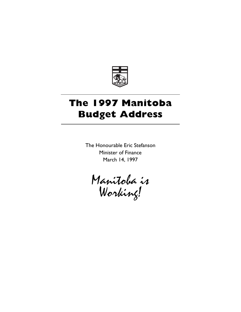

# **The 1997 Manitoba Budget Address**

The Honourable Eric Stefanson Minister of Finance March 14, 1997

Manitoba is Working!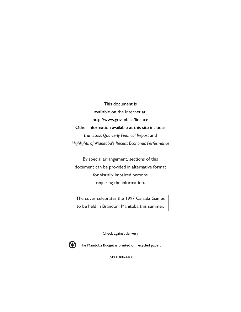This document is available on the Internet at: http://www.gov.mb.ca/finance Other information available at this site includes the latest *Quarterly Financal Report* and *Highlights of Manitoba's Recent Economic Performance*

By special arrangement, sections of this document can be provided in alternative format for visually impaired persons requiring the information.

The cover celebrates the 1997 Canada Games to be held in Brandon, Manitoba this summer.

Check against delivery



The Manitoba Budget is printed on recycled paper.

ISSN 0380-4488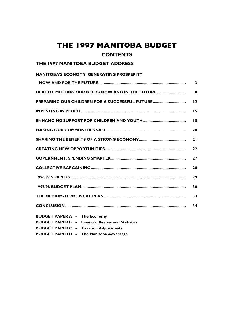# **THE 1997 MANITOBA BUDGET**

### **CONTENTS**

### **THE 1997 MANITOBA BUDGET ADDRESS**

| <b>MANITOBA'S ECONOMY: GENERATING PROSPERITY</b>        |                         |
|---------------------------------------------------------|-------------------------|
|                                                         | $\overline{\mathbf{3}}$ |
| <b>HEALTH: MEETING OUR NEEDS NOW AND IN THE FUTURE </b> | 8                       |
| <b>PREPARING OUR CHILDREN FOR A SUCCESSFUL FUTURE</b>   | 12                      |
|                                                         | 15                      |
|                                                         | 18                      |
|                                                         | 20                      |
|                                                         | 21                      |
|                                                         | 22                      |
|                                                         | 27                      |
|                                                         | 28                      |
|                                                         | 29                      |
|                                                         | 30                      |
|                                                         | 33                      |
|                                                         | 34                      |
|                                                         |                         |

**BUDGET PAPER A – The Economy BUDGET PAPER B – Financial Review and Statistics BUDGET PAPER C – Taxation Adjustments BUDGET PAPER D – The Manitoba Advantage**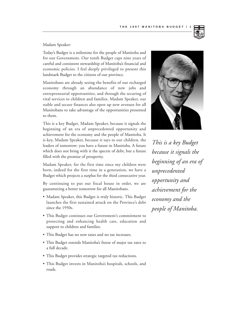#### Madam Speaker:

Today's Budget is a milestone for the people of Manitoba and for our Government. Our tenth Budget caps nine years of careful and consistent stewardship of Manitoba's financial and economic policies. I feel deeply privileged to present this landmark Budget to the citizens of our province.

Manitobans are already seeing the benefits of our recharged economy through an abundance of new jobs and entrepreneurial opportunities, and through the securing of vital services to children and families. Madam Speaker, our stable and secure finances also open up new avenues for all Manitobans to take advantage of the opportunities presented to them.

This is a key Budget, Madam Speaker, because it signals the beginning of an era of unprecedented opportunity and achievement for the economy and the people of Manitoba. It is key, Madam Speaker, because it says to our children, the leaders of tomorrow: you have a future in Manitoba. A future which does not bring with it the spectre of debt, but a future filled with the promise of prosperity.

Madam Speaker, for the first time since my children were born, indeed for the first time in a generation, we have a Budget which projects a surplus for the third consecutive year.

By continuing to put our fiscal house in order, we are guaranteeing a better tomorrow for all Manitobans.

- Madam Speaker, this Budget is truly historic. This Budget launches the first sustained attack on the Province's debt since the 1950s.
- This Budget continues our Government's commitment to protecting and enhancing health care, education and support to children and families.
- This Budget has no new taxes and no tax increases.
- This Budget extends Manitoba's freeze of major tax rates to a full decade.
- This Budget provides strategic targeted tax reductions.
- This Budget invests in Manitoba's hospitals, schools, and roads.



*This is a key Budget because it signals the beginning of an era of unprecedented opportunity and achievement for the economy and the people of Manitoba.*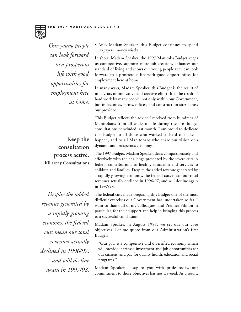

*Our young people can look forward to a prosperous life with good opportunities for employment here at home.*

**Keep the consultation process active. Killarney Consultations**

*Despite the added revenue generated by a rapidly growing economy, the federal cuts mean our total revenues actually declined in 1996/97, and will decline again in 1997/98.*

• And, Madam Speaker, this Budget continues to spend taxpayers' money wisely.

In short, Madam Speaker, the 1997 Manitoba Budget keeps us competitive, supports more job creation, enhances our standard of living and shows our young people they can look forward to a prosperous life with good opportunities for employment here at home.

In many ways, Madam Speaker, this Budget is the result of nine years of innovative and creative effort. It is the result of hard work by many people, not only within our Government, but in factories, farms, offices, and construction sites across our province.

This Budget reflects the advice I received from hundreds of Manitobans from all walks of life during the pre-Budget consultations concluded last month. I am proud to dedicate this Budget to all those who worked so hard to make it happen, and to all Manitobans who share our vision of a dynamic and prosperous economy.

The 1997 Budget, Madam Speaker, deals compassionately and effectively with the challenge presented by the severe cuts in federal contributions to health, education and services to children and families. Despite the added revenue generated by a rapidly growing economy, the federal cuts mean our total revenues actually declined in 1996/97, and will decline again in 1997/98.

The federal cuts made preparing this Budget one of the most difficult exercises our Government has undertaken so far. I want to thank all of my colleagues, and Premier Filmon in particular, for their support and help in bringing this process to a successful conclusion.

Madam Speaker, in August 1988, we set out our core objectives. Let me quote from our Administration's first Budget:

"Our goal is a competitive and diversified economy which will provide increased investment and job opportunities for our citizens, and pay for quality health, education and social programs."

Madam Speaker, I say to you with pride today, our commitment to those objectives has not wavered. As a result,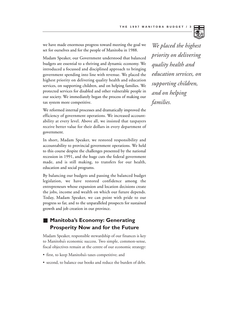

Madam Speaker, our Government understood that balanced budgets are essential to a thriving and dynamic economy. We introduced a focussed and disciplined approach to bringing government spending into line with revenue. We placed the highest priority on delivering quality health and education services, on supporting children, and on helping families. We protected services for disabled and other vulnerable people in our society. We immediately began the process of making our tax system more competitive.

We reformed internal processes and dramatically improved the efficiency of government operations. We increased accountability at every level. Above all, we insisted that taxpayers receive better value for their dollars in every department of government.

In short, Madam Speaker, we restored responsibility and accountability to provincial government operations. We held to this course despite the challenges presented by the national recession in 1991, and the huge cuts the federal government made, and is still making, to transfers for our health, education and social programs.

By balancing our budgets and passing the balanced budget legislation, we have restored confidence among the entrepreneurs whose expansion and location decisions create the jobs, income and wealth on which our future depends. Today, Madam Speaker, we can point with pride to our progress so far, and to the unparalleled prospects for sustained growth and job creation in our province.

## **Manitoba's Economy: Generating Prosperity Now and for the Future**

Madam Speaker, responsible stewardship of our finances is key to Manitoba's economic success. Two simple, common-sense, fiscal objectives remain at the centre of our economic strategy:

- first, to keep Manitoba's taxes competitive; and
- second, to balance our books and reduce the burden of debt.

*We placed the highest priority on delivering quality health and education services, on supporting children, and on helping families.*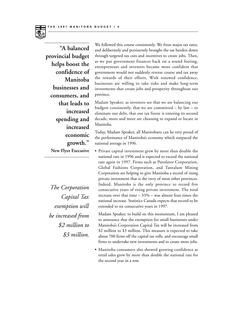

**"A balanced provincial budget helps boost the confidence of Manitoba businesses and consumers, and that leads to increased spending and increased economic growth."** 

**New Flyer Executive**

*The Corporation Capital Tax exemption will be increased from \$2 million to \$3 million.* 

We followed this course consistently. We froze major tax rates, and deliberately and persistently brought the tax burden down through targeted tax cuts and incentives to create jobs. Then, as we put government finances back on a sound footing, entrepreneurs and investors became more confident that government would not suddenly reverse course and tax away the rewards of their efforts. With renewed confidence, businesses are willing to take risks and make long-term investments that create jobs and prosperity throughout our province.

Madam Speaker, as investors see that we are balancing our budgets consistently, that we are committed  $-$  by law  $-$  to eliminate our debt, that our tax freeze is entering its second decade, more and more are choosing to expand or locate in Manitoba.

Today, Madam Speaker, all Manitobans can be very proud of the performance of Manitoba's economy which outpaced the national average in 1996.

• Private capital investment grew by more than double the national rate in 1996 and is expected to exceed the national rate again in 1997. Firms such as Purolator Corporation, Global Fashions Corporation, and Tantalum Mining Corporation are helping to give Manitoba a record of rising private investment that is the envy of most other provinces. Indeed, Manitoba is the only province to record five consecutive years of rising private investment. The total increase over that time  $-33%$  – was almost four times the national increase. Statistics Canada expects that record to be extended to six consecutive years in 1997.

Madam Speaker, to build on this momentum, I am pleased to announce that the exemption for small businesses under Manitoba's Corporation Capital Tax will be increased from \$2 million to \$3 million. This measure is expected to take about 700 firms off the capital tax rolls, and encourage small firms to undertake new investments and to create more jobs.

• Manitoba consumers also showed growing confidence as retail sales grew by more than double the national rate for the second year in a row.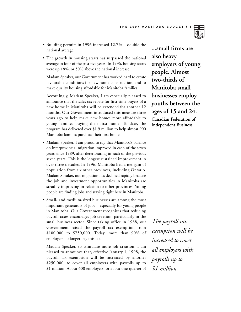- Building permits in 1996 increased 12.7% double the national average.
- The growth in housing starts has surpassed the national average in four of the past five years. In 1996, housing starts were up 18%, or 50% above the national increase.

Madam Speaker, our Government has worked hard to create favourable conditions for new home construction, and to make quality housing affordable for Manitoba families.

Accordingly, Madam Speaker, I am especially pleased to announce that the sales tax rebate for first-time buyers of a new home in Manitoba will be extended for another 12 months. Our Government introduced this measure three years ago to help make new homes more affordable to young families buying their first home. To date, the program has delivered over \$1.9 million to help almost 900 Manitoba families purchase their first home.

- Madam Speaker, I am proud to say that Manitoba's balance on interprovincial migration improved in each of the seven years since 1989, after deteriorating in each of the previous seven years. This is the longest sustained improvement in over three decades. In 1996, Manitoba had a net gain of population from six other provinces, including Ontario. Madam Speaker, out-migration has declined rapidly because the job and investment opportunities in Manitoba are steadily improving in relation to other provinces. Young people are finding jobs and staying right here in Manitoba.
- Small- and medium-sized businesses are among the most important generators of jobs – especially for young people in Manitoba. Our Government recognizes that reducing payroll taxes encourages job creation, particularly in the small business sector. Since taking office in 1988, our Government raised the payroll tax exemption from \$100,000 to \$750,000. Today, more than 90% of employers no longer pay this tax.

Madam Speaker, to stimulate more job creation, I am pleased to announce that, effective January 1, 1998, the payroll tax exemption will be increased by another \$250,000, to cover all employers with payrolls up to \$1 million. About 600 employers, or about one-quarter of

**...small firms are also heavy employers of young people. Almost two-thirds of Manitoba small businesses employ youths between the ages of 15 and 24.**

**Canadian Federation of Independent Business**

*The payroll tax exemption will be increased to cover all employers with payrolls up to \$1 million.*

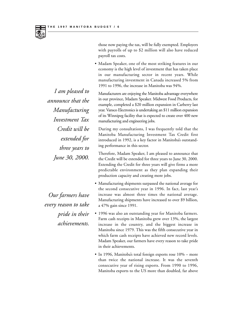

those now paying the tax, will be fully exempted. Employers with payrolls of up to \$2 million will also have reduced payroll tax costs.

• Madam Speaker, one of the most striking features in our economy is the high level of investment that has taken place in our manufacturing sector in recent years. While manufacturing investment in Canada increased 5% from 1991 to 1996, the increase in Manitoba was 94%.

Manufacturers are enjoying the Manitoba advantage everywhere in our province, Madam Speaker. Midwest Food Products, for example, completed a \$20 million expansion in Carberry last year. Vansco Electronics is undertaking an \$11 million expansion of its Winnipeg facility that is expected to create over 400 new manufacturing and engineering jobs.

During my consultations, I was frequently told that the Manitoba Manufacturing Investment Tax Credit first introduced in 1992, is a key factor in Manitoba's outstanding performance in this sector.

Therefore, Madam Speaker, I am pleased to announce that the Credit will be extended for three years to June 30, 2000. Extending the Credit for three years will give firms a more predictable environment as they plan expanding their production capacity and creating more jobs.

- Manufacturing shipments surpassed the national average for the second consecutive year in 1996. In fact, last year's increase was almost three times the national average. Manufacturing shipments have increased to over \$9 billion, a 47% gain since 1991.
- 1996 was also an outstanding year for Manitoba farmers. Farm cash receipts in Manitoba grew over 13%, the largest increase in the country, and the biggest increase in Manitoba since 1979. This was the fifth consecutive year in which farm cash receipts have achieved new record levels. Madam Speaker, our farmers have every reason to take pride in their achievements.
	- In 1996, Manitoba's total foreign exports rose 10% more than twice the national increase. It was the seventh consecutive year of rising exports. From 1990 to 1996, Manitoba exports to the US more than doubled, far above

*I am pleased to announce that the Manufacturing Investment Tax Credit will be extended for three years to June 30, 2000.*

*Our farmers have every reason to take pride in their achievements.*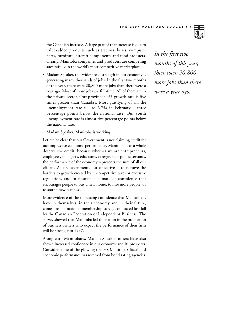

the Canadian increase. A large part of that increase is due to value-added products such as tractors, buses, computer parts, furniture, aircraft components and food products. Clearly, Manitoba companies and producers are competing successfully in the world's most competitive marketplace.

• Madam Speaker, this widespread strength in our economy is generating many thousands of jobs. In the first two months of this year, there were 20,800 more jobs than there were a year ago. Most of those jobs are full-time. All of them are in the private sector. Our province's 4% growth rate is five times greater than Canada's. Most gratifying of all: the unemployment rate fell to 6.7% in February – three percentage points below the national rate. Our youth unemployment rate is almost five percentage points below the national rate.

Madam Speaker, Manitoba is working.

Let me be clear that our Government is not claiming credit for our impressive economic performance. Manitobans as a whole deserve the credit, because whether we are entrepreneurs, employees, managers, educators, caregivers or public servants, the performance of the economy represents the sum of all our efforts. As a Government, our objective is to remove the barriers to growth created by uncompetitive taxes or excessive regulation, and to nourish a climate of confidence that encourages people to buy a new home, to hire more people, or to start a new business.

More evidence of the increasing confidence that Manitobans have in themselves, in their economy and in their future, comes from a national membership survey conducted last fall by the Canadian Federation of Independent Business. The survey showed that Manitoba led the nation in the proportion of business owners who expect the performance of their firm will be stronger in 1997.

Along with Manitobans, Madam Speaker, others have also shown increased confidence in our economy and its prospects. Consider some of the glowing reviews Manitoba's fiscal and economic performance has received from bond rating agencies.

*In the first two months of this year, there were 20,800 more jobs than there were a year ago.*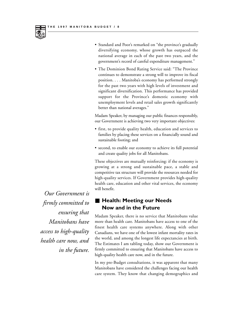

- Standard and Poor's remarked on "the province's gradually diversifying economy, whose growth has outpaced the national average in each of the past two years, and the government's record of careful expenditure management."
- The Dominion Bond Rating Service said: "The Province continues to demonstrate a strong will to improve its fiscal position. . . . Manitoba's economy has performed strongly for the past two years with high levels of investment and significant diversification. This performance has provided support for the Province's domestic economy with unemployment levels and retail sales growth significantly better than national averages."

Madam Speaker, by managing our public finances responsibly, our Government is achieving two very important objectives:

- first, to provide quality health, education and services to families by placing these services on a financially sound and sustainable footing; and
- second, to enable our economy to achieve its full potential and create quality jobs for all Manitobans.

These objectives are mutually reinforcing: if the economy is growing at a strong and sustainable pace, a stable and competitive tax structure will provide the resources needed for high-quality services. If Government provides high-quality health care, education and other vital services, the economy will benefit.

### ■ Health: Meeting our Needs **Now and in the Future**

Madam Speaker, there is no service that Manitobans value more than health care. Manitobans have access to one of the finest health care systems anywhere. Along with other Canadians, we have one of the lowest infant mortality rates in the world, and among the longest life expectancies at birth. The Estimates I am tabling today, show our Government is firmly committed to ensuring that Manitobans have access to high-quality health care now, and in the future.

In my pre-Budget consultations, it was apparent that many Manitobans have considered the challenges facing our health care system. They know that changing demographics and

*Our Government is firmly committed to ensuring that Manitobans have access to high-quality health care now, and in the future.*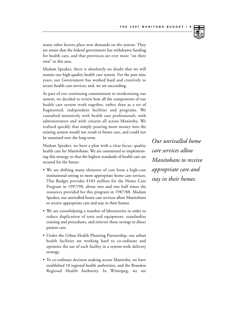

many other factors place new demands on the system. They are aware that the federal government has withdrawn funding for health care, and that provinces are ever more "on their own" in this area.

Madam Speaker, there is absolutely no doubt that we will sustain our high-quality health care system. For the past nine years, our Government has worked hard and creatively to secure health care services; and, we are succeeding.

As part of our continuing commitment to modernizing our system, we decided to review how all the components of our health care system work together, rather than as a set of fragmented, independent facilities and programs. We consulted intensively with health care professionals, with administrators and with citizens all across Manitoba. We realized quickly that simply pouring more money into the existing system would not result in better care, and could not be sustained over the long term.

Madam Speaker, we have a plan with a clear focus: quality health care for Manitobans. We are committed to implementing this strategy so that the highest standards of health care are secured for the future.

- We are shifting many elements of care from a high-cost institutional setting to more appropriate home care services. This Budget provides \$103 million for the Home Care Program in 1997/98, about two and one half times the resources provided for this program in 1987/88. Madam Speaker, our unrivalled home care services allow Manitobans to receive appropriate care and stay in their homes.
- We are consolidating a number of laboratories in order to reduce duplication of tests and equipment, standardize training and procedures, and reinvest those savings to direct patient care.
- Under the Urban Health Planning Partnership, our urban health facilities are working hard to co-ordinate and optimize the use of each facility in a system-wide delivery strategy.
- To co-ordinate decision making across Manitoba, we have established 10 regional health authorities, and the Brandon Regional Health Authority. In Winnipeg, we are

*Our unrivalled home care services allow Manitobans to receive appropriate care and stay in their homes.*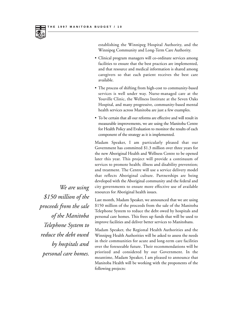

establishing the Winnipeg Hospital Authority, and the Winnipeg Community and Long-Term Care Authority.

- Clinical program managers will co-ordinate services among facilities to ensure that the best practices are implemented, and that resource and medical information is shared among caregivers so that each patient receives the best care available.
- The process of shifting from high-cost to community-based services is well under way. Nurse-managed care at the Youville Clinic, the Wellness Institute at the Seven Oaks Hospital, and many progressive, community-based mental health services across Manitoba are just a few examples.
- To be certain that all our reforms are effective and will result in measurable improvements, we are using the Manitoba Centre for Health Policy and Evaluation to monitor the results of each component of the strategy as it is implemented.

Madam Speaker, I am particularly pleased that our Government has committed \$1.3 million over three years for the new Aboriginal Health and Wellness Centre to be opened later this year. This project will provide a continuum of services to promote health; illness and disability prevention; and treatment. The Centre will use a service delivery model that reflects Aboriginal culture. Partnerships are being developed with the Aboriginal community and the federal and city governments to ensure more effective use of available resources for Aboriginal health issues.

Last month, Madam Speaker, we announced that we are using \$150 million of the proceeds from the sale of the Manitoba Telephone System to reduce the debt owed by hospitals and personal care homes. This frees up funds that will be used to improve facilities and deliver better services to Manitobans.

Madam Speaker, the Regional Health Authorities and the Winnipeg Health Authorities will be asked to assess the needs in their communities for acute and long-term care facilities over the foreseeable future. Their recommendations will be priorized and considered by our Government. In the meantime, Madam Speaker, I am pleased to announce that Manitoba Health will be working with the proponents of the following projects:

*We are using \$150 million of the proceeds from the sale of the Manitoba Telephone System to reduce the debt owed by hospitals and personal care homes.*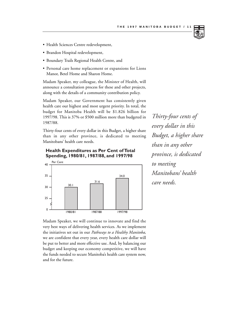- Health Sciences Centre redevelopment,
- Brandon Hospital redevelopment,
- Boundary Trails Regional Health Centre, and
- Personal care home replacement or expansions for Lions Manor, Betel Home and Sharon Home.

Madam Speaker, my colleague, the Minister of Health, will announce a consultation process for these and other projects, along with the details of a community contribution policy.

Madam Speaker, our Government has consistently given health care our highest and most urgent priority. In total, the budget for Manitoba Health will be \$1.826 billion for 1997/98. This is 37% or \$500 million more than budgeted in 1987/88.

Thirty-four cents of every dollar in this Budget, a higher share than in any other province, is dedicated to meeting Manitobans' health care needs.



**Health Expenditures as Per Cent of Total Spending, 1980/81, 1987/88, and 1997/98**

Madam Speaker, we will continue to innovate and find the very best ways of delivering health services. As we implement the initiatives set out in our *Pathways to a Healthy Manitoba*, we are confident that every year, every health care dollar will be put to better and more effective use. And, by balancing our budget and keeping our economy competitive, we will have the funds needed to secure Manitoba's health care system now, and for the future.

*Thirty-four cents of every dollar in this Budget, a higher share than in any other province, is dedicated to meeting Manitobans' health care needs.*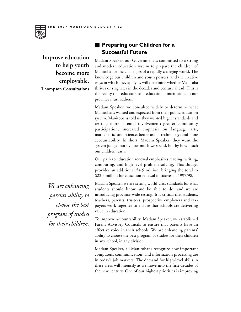

**Improve education to help youth become more employable. Thompson Consultations**

### **Preparing our Children for a Successful Future**

Madam Speaker, our Government is committed to a strong and modern education system to prepare the children of Manitoba for the challenges of a rapidly changing world. The knowledge our children and youth possess, and the creative ways in which they apply it, will determine whether Manitoba thrives or stagnates in the decades and century ahead. This is the reality that educators and educational institutions in our province must address.

Madam Speaker, we consulted widely to determine what Manitobans wanted and expected from their public education system. Manitobans told us they wanted higher standards and testing; more parental involvement; greater community participation; increased emphasis on language arts, mathematics and science; better use of technology; and more accountability. In short, Madam Speaker, they want the system judged not by how much we spend, but by how much our children learn.

Our path to education renewal emphasizes reading, writing, computing, and high-level problem solving. This Budget provides an additional \$4.5 million, bringing the total to \$22.3 million for education renewal initiatives in 1997/98.

Madam Speaker, we are setting world-class standards for what students should know and be able to do, and we are introducing province-wide testing. It is critical that students, teachers, parents, trustees, prospective employers and taxpayers work together to ensure that schools are delivering value in education.

To improve accountability, Madam Speaker, we established Parent Advisory Councils to ensure that parents have an effective voice in their schools. We are enhancing parents' ability to choose the best program of studies for their children in any school, in any division.

Madam Speaker, all Manitobans recognize how important computers, communication, and information processing are in today's job markets. The demand for high-level skills in these areas will intensify as we move into the first decades of the new century. One of our highest priorities is improving

*We are enhancing parents' ability to choose the best program of studies for their children.*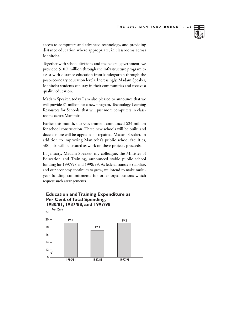

access to computers and advanced technology, and providing distance education where appropriate, in classrooms across Manitoba.

Together with school divisions and the federal government, we provided \$10.7 million through the infrastructure program to assist with distance education from kindergarten through the post-secondary education levels. Increasingly, Madam Speaker, Manitoba students can stay in their communities and receive a quality education.

Madam Speaker, today I am also pleased to announce that we will provide \$1 million for a new program, Technology Learning Resources for Schools, that will put more computers in classrooms across Manitoba.

Earlier this month, our Government announced \$24 million for school construction. Three new schools will be built, and dozens more will be upgraded or repaired, Madam Speaker. In addition to improving Manitoba's public school facilities, 400 jobs will be created as work on these projects proceeds.

In January, Madam Speaker, my colleague, the Minister of Education and Training, announced stable public school funding for 1997/98 and 1998/99. As federal transfers stabilize, and our economy continues to grow, we intend to make multiyear funding commitments for other organizations which request such arrangements.

### **Education and Training Expenditure as Per Cent of Total Spending, 1980/81, 1987/88, and 1997/98**

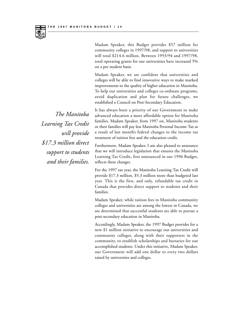

Madam Speaker, this Budget provides \$57 million for community colleges in 1997/98, and support to universities will total \$214.6 million. Between 1993/94 and 1997/98, total operating grants for our universities have increased 5% on a per student basis.

Madam Speaker, we are confident that universities and colleges will be able to find innovative ways to make marked improvements to the quality of higher education in Manitoba. To help our universities and colleges co-ordinate programs, avoid duplication and plan for future challenges, we established a Council on Post-Secondary Education.

It has always been a priority of our Government to make advanced education a more affordable option for Manitoba families. Madam Speaker, from 1997 on, Manitoba students or their families will pay less Manitoba Personal Income Tax as a result of last month's federal changes to the income tax treatment of tuition fees and the education credit.

Furthermore, Madam Speaker, I am also pleased to announce that we will introduce legislation that ensures the Manitoba Learning Tax Credit, first announced in our 1996 Budget, reflects these changes.

For the 1997 tax year, the Manitoba Learning Tax Credit will provide \$17.3 million, \$5.3 million more than budgeted last year. This is the first, and only, refundable tax credit in Canada that provides direct support to students and their families.

Madam Speaker, while tuition fees in Manitoba community colleges and universities are among the lowest in Canada, we are determined that successful students are able to pursue a post-secondary education in Manitoba.

Accordingly, Madam Speaker, the 1997 Budget provides for a new \$1 million initiative to encourage our universities and community colleges, along with their supporters in the community, to establish scholarships and bursaries for our accomplished students. Under this initiative, Madam Speaker, our Government will add one dollar to every two dollars raised by universities and colleges.

*The Manitoba Learning Tax Credit will provide \$17.3 million direct support to students and their families.*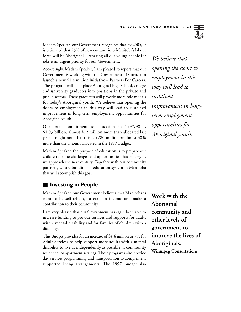

Madam Speaker, our Government recognizes that by 2005, it is estimated that 25% of new entrants into Manitoba's labour force will be Aboriginal. Preparing all our young people for jobs is an urgent priority for our Government.

Accordingly, Madam Speaker, I am pleased to report that our Government is working with the Government of Canada to launch a new \$1.4 million initiative – Partners For Careers. The program will help place Aboriginal high school, college and university graduates into positions in the private and public sectors. These graduates will provide more role models for today's Aboriginal youth. We believe that opening the doors to employment in this way will lead to sustained improvement in long-term employment opportunities for Aboriginal youth.

Our total commitment to education in 1997/98 is \$1.03 billion, almost \$12 million more than allocated last year. I might note that this is \$280 million or almost 38% more than the amount allocated in the 1987 Budget.

Madam Speaker, the purpose of education is to prepare our children for the challenges and opportunities that emerge as we approach the next century. Together with our community partners, we are building an education system in Manitoba that will accomplish this goal.

### **Investing in People**

Madam Speaker, our Government believes that Manitobans want to be self-reliant, to earn an income and make a contribution to their community.

I am very pleased that our Government has again been able to increase funding to provide services and supports for adults with a mental disability and for families of children with a disability.

This Budget provides for an increase of \$4.4 million or 7% for Adult Services to help support more adults with a mental disability to live as independently as possible in community residences or apartment settings. These programs also provide day services programming and transportation to complement supported living arrangements. The 1997 Budget also

*We believe that opening the doors to employment in this way will lead to sustained improvement in longterm employment opportunities for Aboriginal youth.*

**Work with the Aboriginal community and other levels of government to improve the lives of Aboriginals. Winnipeg Consultations**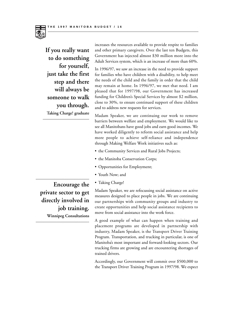

**If you really want to do something for yourself, just take the first step and there will always be someone to walk you through. Taking Charge! graduate**

increases the resources available to provide respite to families and other primary caregivers. Over the last ten Budgets, this Government has injected almost \$30 million more into the Adult Services system, which is an increase of more than 60%.

In 1996/97, we saw an increase in the need to provide support for families who have children with a disability, to help meet the needs of the child and the family in order that the child may remain at home. In 1996/97, we met that need. I am pleased that for 1997/98, our Government has increased funding for Children's Special Services by almost \$2 million, close to 30%, to ensure continued support of these children and to address new requests for services.

Madam Speaker, we are continuing our work to remove barriers between welfare and employment. We would like to see all Manitobans have good jobs and earn good incomes. We have worked diligently to reform social assistance and help more people to achieve self-reliance and independence through Making Welfare Work initiatives such as:

- the Community Services and Rural Jobs Projects;
- the Manitoba Conservation Corps;
- Opportunities for Employment;
- Youth Now; and
- Taking Charge!

Madam Speaker, we are refocussing social assistance on active measures designed to place people in jobs. We are continuing our partnerships with community groups and industry to create opportunities and help social assistance recipients to move from social assistance into the work force.

A good example of what can happen when training and placement programs are developed in partnership with industry, Madam Speaker, is the Transport Driver Training Program. Transportation, and trucking in particular, is one of Manitoba's most important and forward-looking sectors. Our trucking firms are growing and are encountering shortages of trained drivers.

Accordingly, our Government will commit over \$500,000 to the Transport Driver Training Program in 1997/98. We expect

**Encourage the private sector to get directly involved in job training. Winnipeg Consultations**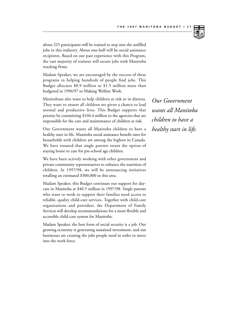

about 225 participants will be trained to step into the unfilled jobs in this industry. About one-half will be social assistance recipients. Based on our past experience with this Program, the vast majority of trainees will secure jobs with Manitoba trucking firms.

Madam Speaker, we are encouraged by the success of these programs in helping hundreds of people find jobs. This Budget allocates \$8.9 million or \$1.5 million more than budgeted in 1996/97 to Making Welfare Work.

Manitobans also want to help children at risk or in distress. They want to ensure all children are given a chance to lead normal and productive lives. This Budget supports that priority by committing \$104.4 million to the agencies that are responsible for the care and maintenance of children at risk.

Our Government wants all Manitoba children to have a healthy start in life. Manitoba social assistance benefit rates for households with children are among the highest in Canada. We have ensured that single parents retain the option of staying home to care for pre-school age children.

We have been actively working with other government and private community representatives to enhance the nutrition of children. In 1997/98, we will be announcing initiatives totalling an estimated \$300,000 in this area.

Madam Speaker, this Budget continues our support for daycare in Manitoba at \$40.5 million in 1997/98. Single parents who want to work to support their families need access to reliable, quality child-care services. Together with child-care organizations and providers, the Department of Family Services will develop recommendations for a more flexible and accessible child-care system for Manitoba.

Madam Speaker, the best form of social security is a job. Our growing economy is generating sustained investment, and our businesses are creating the jobs people need in order to move into the work force.

*Our Government wants all Manitoba children to have a healthy start in life.*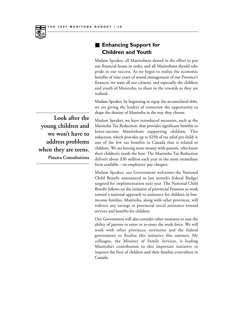■ **Enhancing Support for Children and Youth**

Madam Speaker, all Manitobans shared in the effort to put our financial house in order, and all Manitobans should take pride in our success. As we begin to realize the economic benefits of nine years of sound management of our Province's finances, we want all our citizens, and especially the children and youth of Manitoba, to share in the rewards as they are realized.

Madam Speaker, by beginning to repay the accumulated debt, we are giving the leaders of tomorrow the opportunity to shape the destiny of Manitoba in the way they choose.

Madam Speaker, we have introduced measures, such as the Manitoba Tax Reduction, that provides significant benefits to lower-income Manitobans supporting children. This reduction, which provides up to \$250 of tax relief per child, is one of the few tax benefits in Canada that is related to children. We are leaving more money with parents, who know their children's needs the best. The Manitoba Tax Reduction delivers about \$30 million each year in the most immediate form available – on employees' pay cheques.

Madam Speaker, our Government welcomes the National Child Benefit announced in last month's federal Budget targeted for implementation next year. The National Child Benefit follows on the initiative of provincial Premiers to work toward a national approach to assistance for children in lowincome families. Manitoba, along with other provinces, will redirect any savings in provincial social assistance toward services and benefits for children.

Our Government will also consider other measures to ease the ability of parents to enter or re-enter the work force. We will work with other provinces, territories and the federal government to finalize this initiative this summer. My colleague, the Minister of Family Services, is leading Manitoba's contribution to this important initiative to improve the lives of children and their families everywhere in Canada.

**Look after the young children and we won't have to address problems when they are teens. Pinawa Consultations**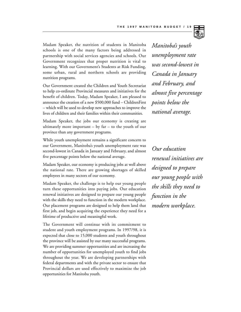

Our Government created the Children and Youth Secretariat to help co-ordinate Provincial measures and initiatives for the benefit of children. Today, Madam Speaker, I am pleased to announce the creation of a new \$500,000 fund – ChildrenFirst – which will be used to develop new approaches to improve the lives of children and their families within their communities.

Madam Speaker, the jobs our economy is creating are ultimately more important  $-$  by far  $-$  to the youth of our province than any government programs.

While youth unemployment remains a significant concern to our Government, Manitoba's youth unemployment rate was second-lowest in Canada in January and February, and almost five percentage points below the national average.

Madam Speaker, our economy is producing jobs at well above the national rate. There are growing shortages of skilled employees in many sectors of our economy.

Madam Speaker, the challenge is to help our young people turn these opportunities into paying jobs. Our education renewal initiatives are designed to prepare our young people with the skills they need to function in the modern workplace. Our placement programs are designed to help them land that first job, and begin acquiring the experience they need for a lifetime of productive and meaningful work.

The Government will continue with its commitment to student and youth employment programs. In 1997/98, it is expected that close to 15,000 students and youth throughout the province will be assisted by our many successful programs. We are providing summer opportunities and are increasing the number of opportunities for unemployed youth to find jobs throughout the year. We are developing partnerships with federal departments and with the private sector to ensure that Provincial dollars are used effectively to maximize the job opportunities for Manitoba youth.

*Manitoba's youth unemployment rate was second-lowest in Canada in January and February, and almost five percentage points below the national average.*

*Our education renewal initiatives are designed to prepare our young people with the skills they need to function in the modern workplace.*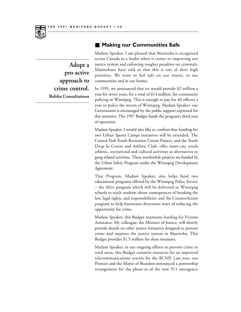

**Adopt a pro-active approach to crime control. Roblin Consultations**

### **Making our Communities Safe**

Madam Speaker, I am pleased that Manitoba is recognized across Canada as a leader when it comes to improving our justice system and enforcing tougher penalties on criminals. Manitobans have told us that this is one of their high priorities. We want to feel safe on our streets, in our communities and in our homes.

In 1995, we announced that we would provide \$2 million a year for seven years, for a total of \$14 million, for community policing in Winnipeg. This is enough to pay for 40 officers a year to police the streets of Winnipeg. Madam Speaker, our Government is encouraged by the public support expressed for this initiative. The 1997 Budget funds the program's third year of operation.

Madam Speaker, I would also like to confirm that funding for two Urban Sports Camps initiatives will be extended. The Central Park Youth Recreation Centre Project, and the Youth Drop In Centre and Athletic Club, offer inner-city youth athletic, recreational and cultural activities as alternatives to gang-related activities. These worthwhile projects are funded by the Urban Safety Program under the Winnipeg Development Agreement.

That Program, Madam Speaker, also helps fund two educational programs offered by the Winnipeg Police Service – the Alive program which will be delivered in Winnipeg schools to teach students about consequences of breaking the law, legal rights, and responsibilities; and the CounterAction program to help businesses determine ways of reducing the opportunity for crime.

Madam Speaker, this Budget maintains funding for Victims Assistance. My colleague, the Minister of Justice, will shortly provide details on other justice initiatives designed to prevent crime and improve the justice system in Manitoba. This Budget provides \$1.5 million for these measures.

Madam Speaker, in our ongoing efforts to prevent crime in rural areas, this Budget commits resources for an improved telecommunications system for the RCMP. Last year, our Premier and the Mayor of Brandon announced a partnership arrangement for the phase-in of the new 911 emergency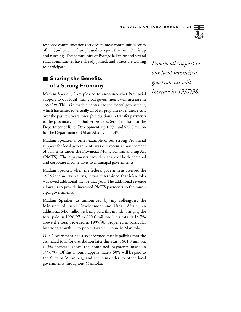

response communications services to most communities south of the 53rd parallel. I am pleased to report that rural 911 is up and running. The community of Portage la Prairie and several rural communities have already joined, and others are waiting to participate.

## ■ **Sharing the Benefits of a Strong Economy**

Madam Speaker, I am pleased to announce that Provincial support to our local municipal governments will increase in 1997/98. This is in marked contrast to the federal government, which has achieved virtually all of its program expenditure cuts over the past few years through reductions in transfer payments to the provinces. This Budget provides \$48.8 million for the Department of Rural Development, up 1.9%, and \$72.0 million for the Department of Urban Affairs, up 1.8%.

Madam Speaker, another example of our strong Provincial support for local governments was our recent announcement of payments under the Provincial-Municipal Tax-Sharing Act (PMTS). These payments provide a share of both personal and corporate income taxes to municipal governments.

Madam Speaker, when the federal government assessed the 1995 income tax returns, it was determined that Manitoba was owed additional tax for that year. The additional revenue allows us to provide increased PMTS payments to the municipal governments.

Madam Speaker, as announced by my colleagues, the Ministers of Rural Development and Urban Affairs, an additional \$4.4 million is being paid this month, bringing the total paid in 1996/97 to \$60.0 million. This total is 14.7% above the total provided in 1995/96, propelled in particular by strong growth in corporate taxable income in Manitoba.

Our Government has also informed municipalities that the estimated total for distribution later this year is \$61.8 million, a 3% increase above the combined payments made in 1996/97. Of this amount, approximately 60% will be paid to the City of Winnipeg, and the remainder to other local governments throughout Manitoba.

*Provincial support to our local municipal governments will increase in 1997/98.*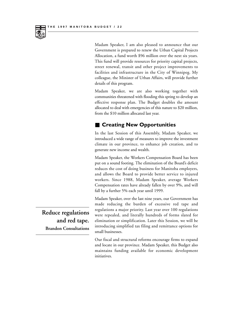

Madam Speaker, I am also pleased to announce that our Government is prepared to renew the Urban Capital Projects Allocation, a fund worth \$96 million over the next six years. This fund will provide resources for priority capital projects, street renewal, transit and other project improvements to facilities and infrastructure in the City of Winnipeg. My colleague, the Minister of Urban Affairs, will provide further details of this program.

Madam Speaker, we are also working together with communities threatened with flooding this spring to develop an effective response plan. The Budget doubles the amount allocated to deal with emergencies of this nature to \$20 million, from the \$10 million allocated last year.

### **Creating New Opportunities**

In the last Session of this Assembly, Madam Speaker, we introduced a wide range of measures to improve the investment climate in our province, to enhance job creation, and to generate new income and wealth.

Madam Speaker, the Workers Compensation Board has been put on a sound footing. The elimination of the Board's deficit reduces the cost of doing business for Manitoba employers, and allows the Board to provide better service to injured workers. Since 1988, Madam Speaker, average Workers Compensation rates have already fallen by over 9%, and will fall by a further 5% each year until 1999.

Madam Speaker, over the last nine years, our Government has made reducing the burden of excessive red tape and regulations a major priority. Last year over 100 regulations were repealed, and literally hundreds of forms slated for elimination or simplification. Later this Session, we will be introducing simplified tax filing and remittance options for small businesses.

Our fiscal and structural reforms encourage firms to expand and locate in our province. Madam Speaker, this Budget also maintains funding available for economic development initiatives.

**Reduce regulations and red tape. Brandon Consultations**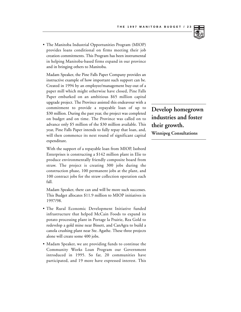

• The Manitoba Industrial Opportunities Program (MIOP) provides loans conditional on firms meeting their job creation commitments. This Program has been instrumental in helping Manitoba-based firms expand in our province and in bringing others to Manitoba.

Madam Speaker, the Pine Falls Paper Company provides an instructive example of how important such support can be. Created in 1994 by an employee/management buy-out of a paper mill which might otherwise have closed, Pine Falls Paper embarked on an ambitious \$65 million capital upgrade project. The Province assisted this endeavour with a commitment to provide a repayable loan of up to \$30 million. During the past year, the project was completed on budget and on time. The Province was called on to advance only \$5 million of the \$30 million available. This year, Pine Falls Paper intends to fully repay that loan, and, will then commence its next round of significant capital expenditure.

With the support of a repayable loan from MIOP, Isobord Enterprises is constructing a \$142 million plant in Elie to produce environmentally friendly composite board from straw. The project is creating 300 jobs during the construction phase, 100 permanent jobs at the plant, and 100 contract jobs for the straw collection operation each fall.

Madam Speaker, there can and will be more such successes. This Budget allocates \$11.9 million to MIOP initiatives in 1997/98.

- The Rural Economic Development Initiative funded infrastructure that helped McCain Foods to expand its potato processing plant in Portage la Prairie, Rea Gold to redevelop a gold mine near Bissett, and CanAgra to build a canola crushing plant near Ste. Agathe. These three projects alone will create some 400 jobs.
- Madam Speaker, we are providing funds to continue the Community Works Loan Program our Government introduced in 1995. So far, 20 communities have participated, and 19 more have expressed interest. This

# **Develop homegrown industries and foster their growth.**

**Winnipeg Consultations**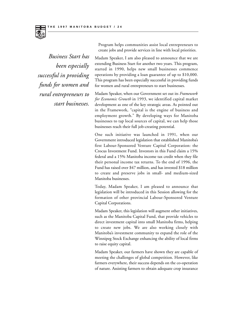

Program helps communities assist local entrepreneurs to create jobs and provide services in line with local priorities.

*Business Start has been especially successful in providing funds for women and rural entrepreneurs to start businesses.*

Madam Speaker, I am also pleased to announce that we are extending Business Start for another two years. This program, started in 1990, helps new small businesses commence operations by providing a loan guarantee of up to \$10,000. This program has been especially successful in providing funds for women and rural entrepreneurs to start businesses.

Madam Speaker, when our Government set out its *Framework for Economic Growth* in 1993, we identified capital market development as one of the key strategic areas. As pointed out in the Framework, "capital is the engine of business and employment growth." By developing ways for Manitoba businesses to tap local sources of capital, we can help those businesses reach their full job-creating potential.

One such initiative was launched in 1991, when our Government introduced legislation that established Manitoba's first Labour-Sponsored Venture Capital Corporation: the Crocus Investment Fund. Investors in this Fund claim a 15% federal and a 15% Manitoba income tax credit when they file their personal income tax returns. To the end of 1996, the Fund has raised over \$47 million, and has invested \$18 million to create and preserve jobs in small- and medium-sized Manitoba businesses.

Today, Madam Speaker, I am pleased to announce that legislation will be introduced in this Session allowing for the formation of other provincial Labour-Sponsored Venture Capital Corporations.

Madam Speaker, this legislation will augment other initiatives, such as the Manitoba Capital Fund, that provide vehicles to direct investment capital into small Manitoba firms, helping to create new jobs. We are also working closely with Manitoba's investment community to expand the role of the Winnipeg Stock Exchange enhancing the ability of local firms to raise equity capital.

Madam Speaker, our farmers have shown they are capable of meeting the challenges of global competition. However, like farmers everywhere, their success depends on the co-operation of nature. Assisting farmers to obtain adequate crop insurance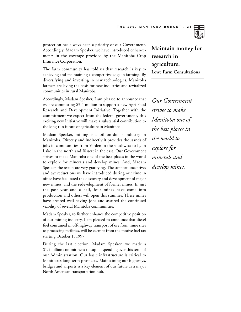

protection has always been a priority of our Government. Accordingly, Madam Speaker, we have introduced enhancements in the coverage provided by the Manitoba Crop Insurance Corporation.

The farm community has told us that research is key to achieving and maintaining a competitive edge in farming. By diversifying and investing in new technologies, Manitoba farmers are laying the basis for new industries and revitalized communities in rural Manitoba.

Accordingly, Madam Speaker, I am pleased to announce that we are committing \$3.4 million to support a new Agri-Food Research and Development Initiative. Together with the commitment we expect from the federal government, this exciting new Initiative will make a substantial contribution to the long-run future of agriculture in Manitoba.

Madam Speaker, mining is a billion-dollar industry in Manitoba. Directly and indirectly it provides thousands of jobs in communities from Virden in the southwest to Lynn Lake in the north and Bissett in the east. Our Government strives to make Manitoba one of the best places in the world to explore for minerals and develop mines. And, Madam Speaker, the results are very gratifying. The support, incentives and tax reductions we have introduced during our time in office have facilitated the discovery and development of major new mines, and the redevelopment of former mines. In just the past year and a half, four mines have come into production and others will open this summer. These mines have created well-paying jobs and assured the continued viability of several Manitoba communities.

Madam Speaker, to further enhance the competitive position of our mining industry, I am pleased to announce that diesel fuel consumed in off-highway transport of ore from mine sites to processing facilities, will be exempt from the motive fuel tax starting October 1, 1997.

During the last election, Madam Speaker, we made a \$1.5 billion commitment to capital spending over this term of our Administration. Our basic infrastructure is critical to Manitoba's long-term prospects. Maintaining our highways, bridges and airports is a key element of our future as a major North American transportation hub.

## **Maintain money for research in agriculture.**

**Lowe Farm Consultations**

*Our Government strives to make Manitoba one of the best places in the world to explore for minerals and develop mines.*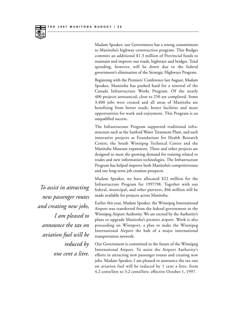

Madam Speaker, our Government has a strong commitment to Manitoba's highway construction program. This Budget commits an additional \$1.3 million of Provincial funds to maintain and improve our roads, highways and bridges. Total spending, however, will be down due to the federal government's elimination of the Strategic Highways Program.

Beginning with the Premiers' Conference last August, Madam Speaker, Manitoba has pushed hard for a renewal of the Canada Infrastructure Works Program. Of the nearly 400 projects announced, close to 250 are completed. Some 3,400 jobs were created and all areas of Manitoba are benefiting from better roads, better facilities and more opportunities for work and enjoyment. This Program is an unqualified success.

The Infrastructure Program supported traditional infrastructure such as the Sanford Water Treatment Plant, and such innovative projects as Foundations for Health Research Centre, the South Winnipeg Technical Centre and the Manitoba Museum expansions. These and other projects are designed to meet the growing demand for training related to trades and new information technologies. The Infrastructure Program has helped improve both Manitoba's competitiveness and our long-term job creation prospects.

Madam Speaker, we have allocated \$22 million for the Infrastructure Program for 1997/98. Together with our federal, municipal, and other partners, \$66 million will be made available for projects across Manitoba.

Earlier this year, Madam Speaker, the Winnipeg International Airport was transferred from the federal government to the Winnipeg Airport Authority. We are excited by the Authority's plans to upgrade Manitoba's premier airport. Work is also proceeding on Winnport, a plan to make the Winnipeg International Airport the hub of a major international transportation network.

Our Government is committed to the future of the Winnipeg International Airport. To assist the Airport Authority's efforts in attracting new passenger routes and creating new jobs, Madam Speaker, I am pleased to announce the tax rate on aviation fuel will be reduced by 1 cent a litre, from 4.2 cents/litre to 3.2 cents/litre, effective October 1, 1997.

*To assist in attracting new passenger routes and creating new jobs, I am pleased to announce the tax on aviation fuel will be reduced by one cent a litre.*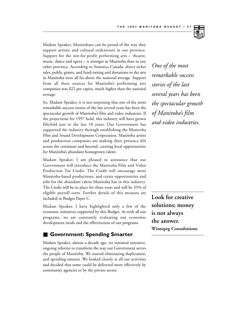

Madam Speaker, Manitobans can be proud of the way they support artistic and cultural endeavours in our province. Support for the not-for-profit performing arts – theatre, music, dance and opera – is stronger in Manitoba than in any other province. According to Statistics Canada, direct ticket sales, public grants, and fund-raising and donations to the arts in Manitoba were all far above the national average. Support from all three sources for Manitoba's performing arts companies was \$22 per capita, much higher than the national average.

So, Madam Speaker, it is not surprising that one of the most remarkable success stories of the last several years has been the spectacular growth of Manitoba's film and video industries. If the projections for 1997 hold, this industry will have grown fiftyfold just in the last 10 years. Our Government has supported the industry through establishing the Manitoba Film and Sound Development Corporation. Manitoba artists and production companies are making their presence felt across the continent and beyond, creating local opportunities for Manitoba's abundant homegrown talent.

Madam Speaker, I am pleased to announce that our Government will introduce the Manitoba Film and Video Production Tax Credit. The Credit will encourage more Manitoba-based productions, and create opportunities and jobs for the abundant talent Manitoba has in this industry. The Credit will be in place for three years and will be 35% of eligible payroll costs. Further details of this measure are included in Budget Paper C.

Madam Speaker, I have highlighted only a few of the economic initiatives supported by this Budget. As with all our programs, we are constantly evaluating our economic development needs and the effectiveness of our programs.

### ■ **Government: Spending Smarter**

Madam Speaker, almost a decade ago, we initiated intensive, ongoing reforms to transform the way our Government serves the people of Manitoba. We started eliminating duplication, and spending smarter. We looked closely at all our activities and decided that some could be delivered more effectively by community agencies or by the private sector.

*One of the most remarkable success stories of the last several years has been the spectacular growth of Manitoba's film and video industries.*

**Look for creative solutions; money is not always the answer. Winnipeg Consultations**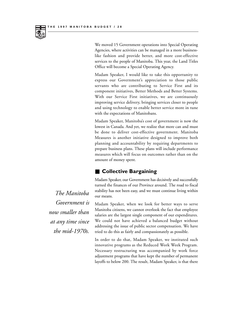

We moved 15 Government operations into Special Operating Agencies, where activities can be managed in a more businesslike fashion and provide better, and more cost-effective services to the people of Manitoba. This year, the Land Titles Office will become a Special Operating Agency.

Madam Speaker, I would like to take this opportunity to express our Government's appreciation to those public servants who are contributing to Service First and its component initiatives, Better Methods and Better Systems. With our Service First initiatives, we are continuously improving service delivery, bringing services closer to people and using technology to enable better service more in tune with the expectations of Manitobans.

Madam Speaker, Manitoba's cost of government is now the lowest in Canada. And yet, we realize that more can and must be done to deliver cost-effective government. Manitoba Measures is another initiative designed to improve both planning and accountability by requiring departments to prepare business plans. These plans will include performance measures which will focus on outcomes rather than on the amount of money spent.

### ■ Collective Bargaining

Madam Speaker, our Government has decisively and successfully turned the finances of our Province around. The road to fiscal stability has not been easy, and we must continue living within our means.

Madam Speaker, when we look for better ways to serve Manitoba citizens, we cannot overlook the fact that employee salaries are the largest single component of our expenditures. We could not have achieved a balanced budget without addressing the issue of public sector compensation. We have tried to do this as fairly and compassionately as possible.

In order to do that, Madam Speaker, we instituted such innovative programs as the Reduced Work Week Program. Necessary restructuring was accompanied by work force adjustment programs that have kept the number of permanent layoffs to below 200. The result, Madam Speaker, is that there

*The Manitoba Government is now smaller than at any time since the mid-1970s.*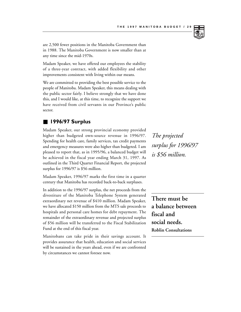

are 2,500 fewer positions in the Manitoba Government than in 1988. The Manitoba Government is now smaller than at any time since the mid-1970s.

Madam Speaker, we have offered our employees the stability of a three-year contract, with added flexibility and other improvements consistent with living within our means.

We are committed to providing the best possible service to the people of Manitoba. Madam Speaker, this means dealing with the public sector fairly. I believe strongly that we have done this, and I would like, at this time, to recognize the support we have received from civil servants in our Province's public sector.

### ■ **1996/97 Surplus**

Madam Speaker, our strong provincial economy provided higher than budgeted own-source revenue in 1996/97. Spending for health care, family services, tax credit payments and emergency measures were also higher than budgeted. I am pleased to report that, as in 1995/96, a balanced budget will be achieved in the fiscal year ending March 31, 1997. As outlined in the Third Quarter Financial Report, the projected surplus for 1996/97 is \$56 million.

Madam Speaker, 1996/97 marks the first time in a quarter century that Manitoba has recorded back-to-back surpluses.

In addition to the 1996/97 surplus, the net proceeds from the divestiture of the Manitoba Telephone System generated extraordinary net revenue of \$410 million. Madam Speaker, we have allocated \$150 million from the MTS sale proceeds to hospitals and personal care homes for debt repayment. The remainder of the extraordinary revenue and projected surplus of \$56 million will be transferred to the Fiscal Stabilization Fund at the end of this fiscal year.

Manitobans can take pride in their savings account. It provides assurance that health, education and social services will be sustained in the years ahead, even if we are confronted by circumstances we cannot foresee now.

*The projected surplus for 1996/97 is \$56 million.*

**There must be a balance between fiscal and social needs. Roblin Consultations**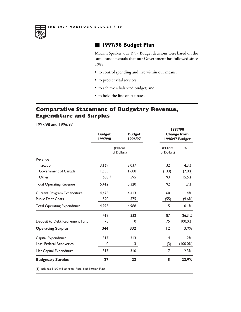

### ■ **1997/98 Budget Plan**

Madam Speaker, our 1997 Budget decisions were based on the same fundamentals that our Government has followed since 1988:

**1997/98**

- to control spending and live within our means;
- to protect vital services;
- to achieve a balanced budget; and
- to hold the line on tax rates.

## **Comparative Statement of Budgetary Revenue, Expenditure and Surplus**

1997/98 and 1996/97

|                                    | <b>Budget</b><br>1997/98 | <b>Budget</b><br>1996/97 | 177770<br><b>Change from</b><br>1996/97 Budget |             |
|------------------------------------|--------------------------|--------------------------|------------------------------------------------|-------------|
|                                    | (Millions<br>of Dollars) |                          | (Millions<br>of Dollars)                       | %           |
| Revenue                            |                          |                          |                                                |             |
| <b>Taxation</b>                    | 3,169                    | 3,037                    | 132                                            | 4.3%        |
| Government of Canada               | 1,555                    | 1,688                    | (133)                                          | (7.8%)      |
| Other                              | 688(1)                   | 595                      | 93                                             | 15.5%       |
| <b>Total Operating Revenue</b>     | 5,412                    | 5,320                    | 92                                             | 1.7%        |
| Current Program Expenditure        | 4,473                    | 4,413                    | 60                                             | 1.4%        |
| <b>Public Debt Costs</b>           | 520                      | 575                      | (55)                                           | (9.6%)      |
| <b>Total Operating Expenditure</b> | 4,993                    | 4,988                    | 5                                              | 0.1%        |
|                                    | 419                      | 332                      | 87                                             | 26.3 %      |
| Deposit to Debt Retirement Fund    | 75                       | 0                        | 75                                             | 100.0%      |
| <b>Operating Surplus</b>           | 344                      | 332                      | 12                                             | 3.7%        |
| Capital Expenditure                | 317                      | 313                      | 4                                              | 1.2%        |
| Less: Federal Recoveries           | 0                        | 3                        | (3)                                            | $(100.0\%)$ |
| Net Capital Expenditure            | 317                      | 310                      | 7                                              | 2.3%        |
| <b>Budgetary Surplus</b>           | 27                       | 22                       | 5                                              | 22.9%       |

(1) Includes \$100 million from Fiscal Stabilization Fund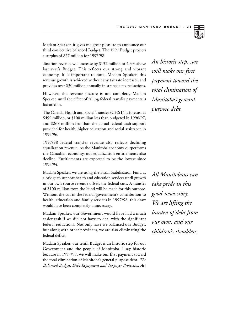

Madam Speaker, it gives me great pleasure to announce our third consecutive balanced Budget. The 1997 Budget projects a surplus of \$27 million for 1997/98.

Taxation revenue will increase by \$132 million or 4.3% above last year's Budget. This reflects our strong and vibrant economy. It is important to note, Madam Speaker, this revenue growth is achieved without any tax rate increases, and provides over \$30 million annually in strategic tax reductions.

However, the revenue picture is not complete, Madam Speaker, until the effect of falling federal transfer payments is factored in.

The Canada Health and Social Transfer (CHST) is forecast at \$499 million, or \$100 million less than budgeted in 1996/97, and \$268 million less than the actual federal cash support provided for health, higher education and social assistance in 1995/96.

1997/98 federal transfer revenue also reflects declining equalization revenue. As the Manitoba economy outperforms the Canadian economy, our equalization entitlements also decline. Entitlements are expected to be the lowest since 1993/94.

Madam Speaker, we are using the Fiscal Stabilization Fund as a bridge to support health and education services until growth in our own-source revenue offsets the federal cuts. A transfer of \$100 million from the Fund will be made for this purpose. Without the cut in the federal government's contribution to health, education and family services in 1997/98, this draw would have been completely unnecessary.

Madam Speaker, our Government would have had a much easier task if we did not have to deal with the significant federal reductions. Not only have we balanced our Budget, but along with other provinces, we are also eliminating the federal deficit.

Madam Speaker, our tenth Budget is an historic step for our Government and the people of Manitoba. I say historic because in 1997/98, we will make our first payment toward the total elimination of Manitoba's general purpose debt. *The Balanced Budget, Debt Repayment and Taxpayer Protection Act*

*An historic step...we will make our first payment toward the total elimination of Manitoba's general purpose debt.*

*All Manitobans can take pride in this good-news story. We are lifting the burden of debt from our own, and our children's, shoulders.*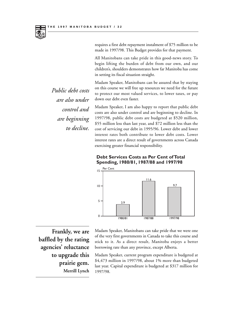

requires a first debt repayment instalment of \$75 million to be made in 1997/98. This Budget provides for that payment.

All Manitobans can take pride in this good-news story. To begin lifting the burden of debt from our own, and our children's, shoulders demonstrates how far Manitoba has come in setting its fiscal situation straight.

Madam Speaker, Manitobans can be assured that by staying on this course we will free up resources we need for the future to protect our most valued services, to lower taxes, or pay down our debt even faster.

Madam Speaker, I am also happy to report that public debt costs are also under control and are beginning to decline. In 1997/98, public debt costs are budgeted at \$520 million, \$55 million less than last year, and \$72 million less than the cost of servicing our debt in 1995/96. Lower debt and lower interest rates both contribute to lower debt costs. Lower interest rates are a direct result of governments across Canada exercising greater financial responsibility.

### **Debt Services Costs as Per Cent of Total Spending, 1980/81, 1987/88 and 1997/98**



*Public debt costs are also under control and are beginning to decline.*

**Frankly, we are baffled by the rating agencies' reluctance to upgrade this prairie gem. Merrill Lynch**

Madam Speaker, Manitobans can take pride that we were one of the very first governments in Canada to take this course and stick to it. As a direct result, Manitoba enjoys a better borrowing rate than any province, except Alberta.

Madam Speaker, current program expenditure is budgeted at \$4,473 million in 1997/98, about 1% more than budgeted last year. Capital expenditure is budgeted at \$317 million for 1997/98.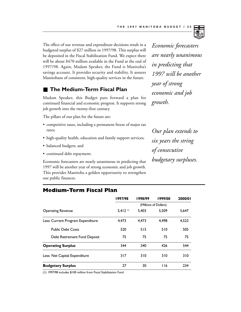

### **The Medium-Term Fiscal Plan**

Madam Speaker, this Budget puts forward a plan for continued financial and economic progress. It supports strong job growth into the twenty-first century.

The pillars of our plan for the future are:

- competitive taxes, including a permanent freeze of major tax rates;
- high-quality health, education and family support services;
- balanced budgets; and
- continued debt repayment.

Economic forecasters are nearly unanimous in predicting that 1997 will be another year of strong economic and job growth. This provides Manitoba a golden opportunity to strengthen our public finances.

*Economic forecasters are nearly unanimous in predicting that 1997 will be another year of strong economic and job growth.*

*Our plan extends to six years the string of consecutive budgetary surpluses.*

|                                   | 1997/98               | 1998/99 | 1999/00 | 2000/01 |
|-----------------------------------|-----------------------|---------|---------|---------|
|                                   | (Millions of Dollars) |         |         |         |
| <b>Operating Revenue</b>          | $5.412^{(1)}$         | 5.403   | 5.509   | 5.647   |
| Less: Current Program Expenditure | 4.473                 | 4.473   | 4.498   | 4.523   |
| <b>Public Debt Costs</b>          | 520                   | 515     | 510     | 505     |
| Debt Retirement Fund Deposit      | 75                    | 75      | 75      | 75      |
| <b>Operating Surplus</b>          | 344                   | 340     | 426     | 544     |
| Less: Net Capital Expenditure     | 317                   | 310     | 310     | 310     |
| <b>Budgetary Surplus</b>          | 27                    | 30      | 116     | 234     |

### **Medium-Term Fiscal Plan**

(1) 1997/98 includes \$100 million from Fiscal Stabilization Fund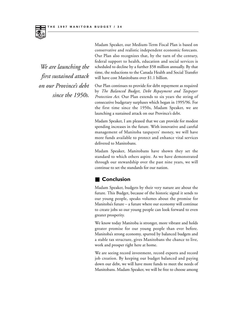*We are launching the first sustained attack on our Province's debt since the 1950s.* Madam Speaker, our Medium-Term Fiscal Plan is based on conservative and realistic independent economic forecasts. Our Plan also recognizes that, by the turn of the century, federal support to health, education and social services is scheduled to decline by a further \$58 million annually. By that time, the reductions to the Canada Health and Social Transfer will have cost Manitobans over \$1.1 billion.

Our Plan continues to provide for debt repayment as required by *The Balanced Budget, Debt Repayment and Taxpayer Protection Act*. Our Plan extends to six years the string of consecutive budgetary surpluses which began in 1995/96. For the first time since the 1950s, Madam Speaker, we are launching a sustained attack on our Province's debt.

Madam Speaker, I am pleased that we can provide for modest spending increases in the future. With innovative and careful management of Manitoba taxpayers' money, we will have more funds available to protect and enhance vital services delivered to Manitobans.

Madam Speaker, Manitobans have shown they set the standard to which others aspire. As we have demonstrated through our stewardship over the past nine years, we will continue to set the standards for our nation.

### ■ **Conclusion**

Madam Speaker, budgets by their very nature are about the future. This Budget, because of the historic signal it sends to our young people, speaks volumes about the promise for Manitoba's future – a future where our economy will continue to create jobs so our young people can look forward to even greater prosperity.

We know today Manitoba is stronger, more vibrant and holds greater promise for our young people than ever before. Manitoba's strong economy, spurred by balanced budgets and a stable tax structure, gives Manitobans the chance to live, work and prosper right here at home.

We are seeing record investment, record exports and record job creation. By keeping our budget balanced and paying down our debt, we will have more funds to meet the needs of Manitobans. Madam Speaker, we will be free to choose among